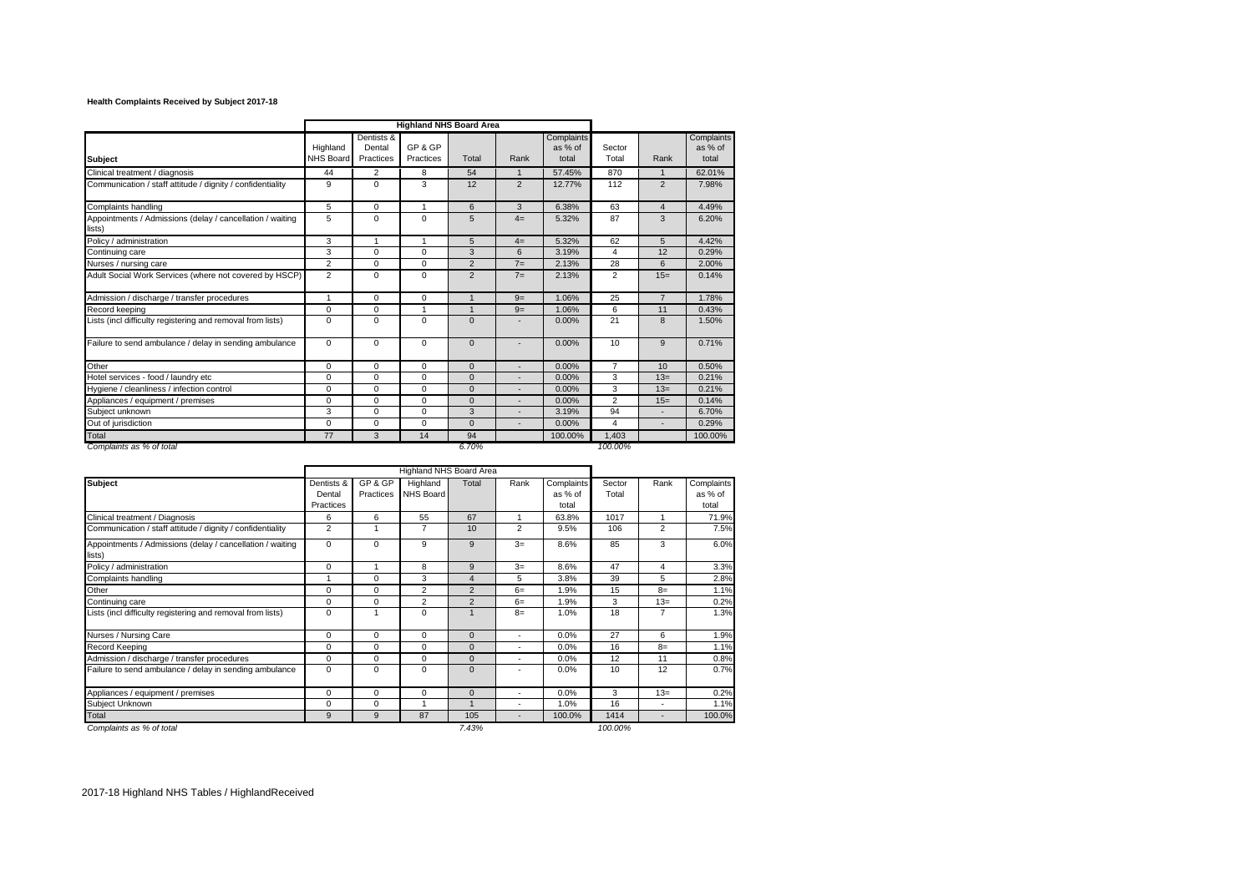## **Health Complaints Received by Subject 2017-18**

|                                                                     | <b>Highland NHS Board Area</b> |                                   |                      |                 |              |                                |                 |                 |                                |
|---------------------------------------------------------------------|--------------------------------|-----------------------------------|----------------------|-----------------|--------------|--------------------------------|-----------------|-----------------|--------------------------------|
| <b>Subject</b>                                                      | Highland<br><b>NHS Board</b>   | Dentists &<br>Dental<br>Practices | GP & GP<br>Practices | Total           | Rank         | Complaints<br>as % of<br>total | Sector<br>Total | Rank            | Complaints<br>as % of<br>total |
| Clinical treatment / diagnosis                                      | 44                             | $\overline{2}$                    | 8                    | 54              | $\mathbf{1}$ | 57.45%                         | 870             | $\mathbf{1}$    | 62.01%                         |
| Communication / staff attitude / dignity / confidentiality          | 9                              | $\Omega$                          | 3                    | 12              | 2            | 12.77%                         | 112             | $\overline{2}$  | 7.98%                          |
| Complaints handling                                                 | 5                              | $\Omega$                          | 1                    | 6               | 3            | 6.38%                          | 63              | $\overline{4}$  | 4.49%                          |
| Appointments / Admissions (delay / cancellation / waiting<br>lists) | 5                              | $\Omega$                          | $\Omega$             | 5               | $4=$         | 5.32%                          | 87              | 3               | 6.20%                          |
| Policy / administration                                             | 3                              | $\mathbf{1}$                      | $\mathbf{1}$         | $5\overline{5}$ | $4=$         | 5.32%                          | 62              | $5\overline{5}$ | 4.42%                          |
| Continuing care                                                     | 3                              | $\Omega$                          | $\Omega$             | 3               | 6            | 3.19%                          | 4               | 12              | 0.29%                          |
| Nurses / nursing care                                               | $\overline{2}$                 | $\Omega$                          | $\Omega$             | 2               | $7=$         | 2.13%                          | 28              | 6               | 2.00%                          |
| Adult Social Work Services (where not covered by HSCP)              | $\overline{2}$                 | $\Omega$                          | $\Omega$             | $\overline{2}$  | $7=$         | 2.13%                          | $\overline{2}$  | $15=$           | 0.14%                          |
| Admission / discharge / transfer procedures                         | 1                              | $\Omega$                          | $\Omega$             | $\overline{1}$  | $9=$         | 1.06%                          | 25              | $\overline{7}$  | 1.78%                          |
| Record keeping                                                      | $\mathbf 0$                    | $\mathbf 0$                       | 1                    | $\overline{1}$  | $9=$         | 1.06%                          | 6               | 11              | 0.43%                          |
| Lists (incl difficulty registering and removal from lists)          | $\Omega$                       | $\Omega$                          | $\Omega$             | $\Omega$        |              | 0.00%                          | 21              | 8               | 1.50%                          |
| Failure to send ambulance / delay in sending ambulance              | $\mathbf 0$                    | $\Omega$                          | $\Omega$             | $\mathbf{0}$    | ٠            | 0.00%                          | 10              | 9               | 0.71%                          |
| Other                                                               | 0                              | $\Omega$                          | $\Omega$             | $\Omega$        |              | 0.00%                          | $\overline{7}$  | 10              | 0.50%                          |
| Hotel services - food / laundry etc                                 | $\Omega$                       | $\Omega$                          | $\Omega$             | $\Omega$        | ٠            | 0.00%                          | 3               | $13=$           | 0.21%                          |
| Hygiene / cleanliness / infection control                           | $\mathbf 0$                    | $\Omega$                          | $\Omega$             | $\mathbf{0}$    |              | 0.00%                          | 3               | $13=$           | 0.21%                          |
| Appliances / equipment / premises                                   | $\Omega$                       | $\Omega$                          | $\Omega$             | $\Omega$        | ٠            | 0.00%                          | $\overline{2}$  | $15=$           | 0.14%                          |
| Subiect unknown                                                     | 3                              | $\Omega$                          | $\Omega$             | 3               | ٠            | 3.19%                          | 94              | ٠               | 6.70%                          |
| Out of jurisdiction                                                 | $\Omega$                       | $\mathbf 0$                       | $\Omega$             | $\Omega$        | ٠            | 0.00%                          | 4               | ٠               | 0.29%                          |
| Total                                                               | 77                             | 3                                 | 14                   | 94              |              | 100.00%                        | 1,403           |                 | 100.00%                        |
| Complaints as % of total                                            |                                |                                   |                      | 6.70%           |              |                                | 100.00%         |                 |                                |

|                                                                     | Highland NHS Board Area           |                      |                       |                |                |                                |                 |       |                                |
|---------------------------------------------------------------------|-----------------------------------|----------------------|-----------------------|----------------|----------------|--------------------------------|-----------------|-------|--------------------------------|
| <b>Subject</b>                                                      | Dentists &<br>Dental<br>Practices | GP & GP<br>Practices | Highland<br>NHS Board | Total          | Rank           | Complaints<br>as % of<br>total | Sector<br>Total | Rank  | Complaints<br>as % of<br>total |
| Clinical treatment / Diagnosis                                      | 6                                 | 6                    | 55                    | 67             |                | 63.8%                          | 1017            | 1     | 71.9%                          |
| Communication / staff attitude / dignity / confidentiality          | 2                                 |                      | 7                     | 10             | $\overline{2}$ | 9.5%                           | 106             | 2     | 7.5%                           |
| Appointments / Admissions (delay / cancellation / waiting<br>lists) | $\Omega$                          | $\Omega$             | 9                     | 9              | $3=$           | 8.6%                           | 85              | 3     | 6.0%                           |
| Policy / administration                                             | 0                                 | 1                    | 8                     | 9              | $3=$           | 8.6%                           | 47              | 4     | 3.3%                           |
| Complaints handling                                                 |                                   | $\Omega$             | 3                     | $\overline{4}$ | 5              | 3.8%                           | 39              | 5     | 2.8%                           |
| Other                                                               | $\mathbf 0$                       | $\Omega$             | $\overline{2}$        | $\overline{2}$ | $6=$           | 1.9%                           | 15              | $8=$  | 1.1%                           |
| Continuing care                                                     | 0                                 | $\Omega$             | $\overline{2}$        | 2              | $6=$           | 1.9%                           | 3               | $13=$ | 0.2%                           |
| Lists (incl difficulty registering and removal from lists)          | 0                                 | 1                    | $\Omega$              |                | $8=$           | 1.0%                           | 18              | 7     | 1.3%                           |
| Nurses / Nursing Care                                               | 0                                 | $\Omega$             | 0                     | $\Omega$       | ٠              | 0.0%                           | 27              | 6     | 1.9%                           |
| <b>Record Keeping</b>                                               | 0                                 | $\Omega$             | $\Omega$              | $\Omega$       | ٠              | 0.0%                           | 16              | $8=$  | 1.1%                           |
| Admission / discharge / transfer procedures                         | $\mathbf 0$                       | 0                    | 0                     | $\mathbf{0}$   | ٠              | 0.0%                           | 12              | 11    | 0.8%                           |
| Failure to send ambulance / delay in sending ambulance              | $\mathbf 0$                       | $\Omega$             | $\Omega$              | $\mathbf{0}$   |                | 0.0%                           | 10              | 12    | 0.7%                           |
| Appliances / equipment / premises                                   | $\mathbf 0$                       | $\mathbf 0$          | 0                     | $\mathbf{0}$   | ٠              | 0.0%                           | 3               | $13=$ | 0.2%                           |
| Subiect Unknown                                                     | $\Omega$                          | $\Omega$             |                       | $\overline{A}$ |                | 1.0%                           | 16              |       | 1.1%                           |
| Total                                                               | 9                                 | 9                    | 87                    | 105            |                | 100.0%                         | 1414            |       | 100.0%                         |
| Complaints as % of total                                            |                                   |                      |                       | 7.43%          |                |                                | 100.00%         |       |                                |